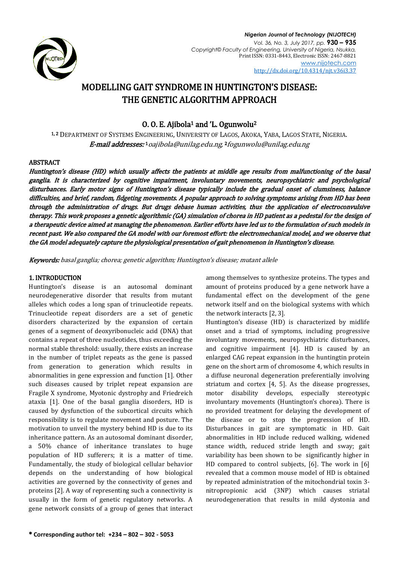

# MODELLING GAIT SYNDROME IN HUNTINGTON'S DISEASE: THE GENETIC ALGORITHM APPROACH

## O. O. E. Ajibola<sup>1</sup> and 'L. Ogunwolu<sup>2</sup>

1, 2 DEPARTMENT OF SYSTEMS ENGINEERING, UNIVERSITY OF LAGOS, AKOKA, YABA, LAGOS STATE, NIGERIA. **E-mail addresses:** 1 [oajibola@unilag.edu.ng,](mailto:oajibola@unilag.edu.ng) <sup>2</sup> [fogunwolu@unilag.edu.ng](mailto:fogunwolu@unilag.edu.ng)

## ABSTRACT

Huntington's disease (HD) which usually affects the patients at middle age results from malfunctioning of the basal ganglia. It is characterized by cognitive impairment, involuntary movements, neuropsychiatric and psychological disturbances. Early motor signs of Huntington's disease typically include the gradual onset of clumsiness, balance difficulties, and brief, random, fidgeting movements. A popular approach to solving symptoms arising from HD has been through the administration of drugs. But drugs debase human activities, thus the application of electroconvulsive therapy. This work proposes a genetic algorithmic (GA) simulation of chorea in HD patient as a pedestal for the design of a therapeutic device aimed at managing the phenomenon. Earlier efforts have led us to the formulation of such models in recent past. We also compared the GA model with our foremost effort: the electromechanical model, and we observe that the GA model adequately capture the physiological presentation of gait phenomenon in Huntington's disease.

Keywords: basal ganglia; chorea; genetic algorithm; Huntington's disease; mutant allele

## 1. INTRODUCTION

Huntington's disease is an autosomal dominant neurodegenerative disorder that results from mutant alleles which codes a long span of trinucleotide repeats. Trinucleotide repeat disorders are a set of genetic disorders characterized by the expansion of certain genes of a segment of deoxyribonucleic acid (DNA) that contains a repeat of three nucleotides, thus exceeding the normal stable threshold: usually, there exists an increase in the number of triplet repeats as the gene is passed from generation to generation which results in abnormalities in gene expression and function [1]. Other such diseases caused by triplet repeat expansion are Fragile X syndrome, Myotonic dystrophy and Friedreich ataxia [1]. One of the basal ganglia disorders, HD is caused by dysfunction of the subcortical circuits which responsibility is to regulate movement and posture. The motivation to unveil the mystery behind HD is due to its inheritance pattern. As an autosomal dominant disorder, a 50% chance of inheritance translates to huge population of HD sufferers; it is a matter of time. Fundamentally, the study of biological cellular behavior depends on the understanding of how biological activities are governed by the connectivity of genes and proteins [2]. A way of representing such a connectivity is usually in the form of genetic regulatory networks. A gene network consists of a group of genes that interact among themselves to synthesize proteins. The types and amount of proteins produced by a gene network have a fundamental effect on the development of the gene network itself and on the biological systems with which the network interacts [2, 3].

Huntington's disease (HD) is characterized by midlife onset and a triad of symptoms, including progressive involuntary movements, neuropsychiatric disturbances, and cognitive impairment [4]. HD is caused by an enlarged CAG repeat expansion in the huntingtin protein gene on the short arm of chromosome 4, which results in a diffuse neuronal degeneration preferentially involving striatum and cortex [4, 5]. As the disease progresses, motor disability develops, especially stereotypic involuntary movements (Huntington's chorea). There is no provided treatment for delaying the development of the disease or to stop the progression of HD. Disturbances in gait are symptomatic in HD. Gait abnormalities in HD include reduced walking, widened stance width, reduced stride length and sway; gait variability has been shown to be significantly higher in HD compared to control subjects, [6]. The work in [6] revealed that a common mouse model of HD is obtained by repeated administration of the mitochondrial toxin 3 nitropropionic acid (3NP) which causes striatal neurodegeneration that results in mild dystonia and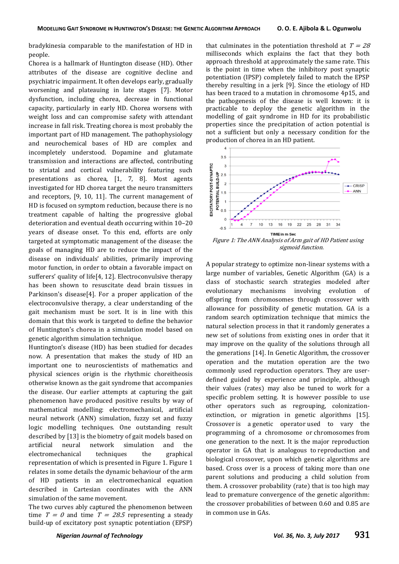bradykinesia comparable to the manifestation of HD in people.

Chorea is a hallmark of Huntington disease (HD). Other attributes of the disease are cognitive decline and psychiatric impairment. It often develops early, gradually worsening and plateauing in late stages [7]. Motor dysfunction, including chorea, decrease in functional capacity, particularly in early HD. Chorea worsens with weight loss and can compromise safety with attendant increase in fall risk. Treating chorea is most probably the important part of HD management. The pathophysiology and neurochemical bases of HD are complex and incompletely understood. Dopamine and glutamate transmission and interactions are affected, contributing to striatal and cortical vulnerability featuring such presentations as chorea, [1, 7, 8]. Most agents investigated for HD chorea target the neuro transmitters and receptors, [9, 10, 11]. The current management of HD is focused on symptom reduction, because there is no treatment capable of halting the progressive global deterioration and eventual death occurring within 10–20 years of disease onset. To this end, efforts are only targeted at symptomatic management of the disease: the goals of managing HD are to reduce the impact of the disease on individuals' abilities, primarily improving motor function, in order to obtain a favorable impact on sufferers' quality of life[4, 12]. Electroconvulsive therapy has been shown to resuscitate dead brain tissues in Parkinson's disease[4]. For a proper application of the electroconvulsive therapy, a clear understanding of the gait mechanism must be sort. It is in line with this domain that this work is targeted to define the behavior of Huntington's chorea in a simulation model based on genetic algorithm simulation technique.

Huntington's disease (HD) has been studied for decades now. A presentation that makes the study of HD an important one to neuroscientists of mathematics and physical sciences origin is the rhythmic choreitheosis otherwise known as the gait syndrome that accompanies the disease. Our earlier attempts at capturing the gait phenomenon have produced positive results by way of mathematical modelling: electromechanical, artificial neural network (ANN) simulation, fuzzy set and fuzzy logic modelling techniques. One outstanding result described by [13] is the biometry of gait models based on artificial neural network simulation and the electromechanical techniques the graphical representation of which is presented in Figure 1. Figure 1 relates in some details the dynamic behaviour of the arm of HD patients in an electromechanical equation described in Cartesian coordinates with the ANN simulation of the same movement.

The two curves ably captured the phenomenon between time  $T = 0$  and time  $T = 28.5$  representing a steady build-up of excitatory post synaptic potentiation (EPSP) that culminates in the potentiation threshold at  $T = 28$ milliseconds which explains the fact that they both approach threshold at approximately the same rate. This is the point in time when the inhibitory post synaptic potentiation (IPSP) completely failed to match the EPSP thereby resulting in a jerk [9]. Since the etiology of HD has been traced to a mutation in chromosome 4p15, and the pathogenesis of the disease is well known: it is practicable to deploy the genetic algorithm in the modelling of gait syndrome in HD for its probabilistic properties since the precipitation of action potential is not a sufficient but only a necessary condition for the production of chorea in an HD patient.



Figure 1: The ANN Analysis of Arm gait of HD Patient using sigmoid function.

A popular strategy to optimize non-linear systems with a large number of variables, Genetic Algorithm (GA) is a class of stochastic search strategies modeled after evolutionary mechanisms involving evolution of offspring from chromosomes through crossover with allowance for possibility of genetic mutation. GA is a random search optimization technique that mimics the natural selection process in that it randomly generates a new set of solutions from existing ones in order that it may improve on the quality of the solutions through all the generations [14]. In Genetic Algorithm, the crossover operation and the mutation operation are the two commonly used reproduction operators. They are userdefined guided by experience and principle, although their values (rates) may also be tuned to work for a specific problem setting. It is however possible to use other operators such as regrouping, colonizationextinction, or migration in genetic algorithms [15]. Crossover is a genetic operator used to vary the programming of a chromosome or chromosomes from one generation to the next. It is the major reproduction operator in GA that is analogous to reproduction and biological crossover, upon which genetic algorithms are based. Cross over is a process of taking more than one parent solutions and producing a child solution from them. A crossover probability (rate) that is too high may lead to premature convergence of the genetic algorithm: the crossover probabilities of between 0.60 and 0.85 are in common use in GAs.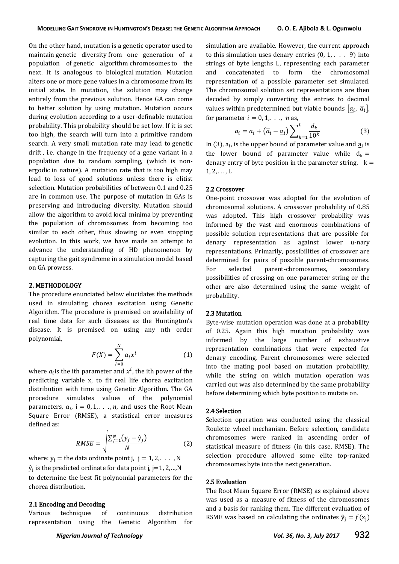On the other hand, mutation is a [genetic operator](http://en.wikipedia.org/wiki/Genetic_operator) used to maintain [genetic diversity](http://en.wikipedia.org/wiki/Genetic_diversity) from one generation of a population of [genetic algorithm](http://en.wikipedia.org/wiki/Genetic_algorithm) [chromosomes](http://en.wikipedia.org/wiki/Chromosome_(genetic_algorithm)) to the next. It is analogous to biological [mutation.](http://en.wikipedia.org/wiki/Mutation) Mutation alters one or more gene values in a chromosome from its initial state. In mutation, the solution may change entirely from the previous solution. Hence GA can come to better solution by using mutation. Mutation occurs during evolution according to a user-definable mutation probability. This probability should be set low. If it is set too high, the search will turn into a primitive random search. A very small mutation rate may lead to [genetic](http://en.wikipedia.org/wiki/Genetic_drift)  [drift](http://en.wikipedia.org/wiki/Genetic_drift) , i.e. change in the frequency of a gene variant in a population due to random sampling, (which is nonergodic in nature). A mutation rate that is too high may lead to loss of good solutions unless there is elitist selection. Mutation probabilities of between 0.1 and 0.25 are in common use. The purpose of mutation in GAs is preserving and introducing diversity. Mutation should allow the algorithm to avoid local minima by preventing the population of chromosomes from becoming too similar to each other, thus slowing or even stopping evolution. In this work, we have made an attempt to advance the understanding of HD phenomenon by capturing the gait syndrome in a simulation model based on GA prowess.

## 2. METHODOLOGY

The procedure enunciated below elucidates the methods used in simulating chorea excitation using Genetic Algorithm. The procedure is premised on availability of real time data for such diseases as the Huntington's disease. It is premised on using any nth order polynomial,

$$
F(X) = \sum_{i=0}^{N} a_i x^i
$$
 (1)

where  $a_i$  is the ith parameter and  $x^i$ , the ith power of the predicting variable x, to fit real life chorea excitation distribution with time using Genetic Algorithm. The GA procedure simulates values of the polynomial parameters,  $a_i$ , i = 0, 1,..., n, and uses the Root Mean Square Error (RMSE), a statistical error measures defined as:

$$
RMSE = \sqrt{\frac{\sum_{j=1}^{N} (y_j - \hat{y}_j)}{N}}
$$
 (2)

where:  $y_i$  = the data ordinate point j,  $j = 1, 2, \ldots, N$  ${\rm \widehat{y}}_{\rm j}$  is the predicted ordinate for data point j, j=1, 2,...,N to determine the best fit polynomial parameters for the chorea distribution.

## 2.1 Encoding and Decoding

Various techniques of continuous distribution representation using the Genetic Algorithm for simulation are available. However, the current approach to this simulation uses denary entries  $(0, 1, \ldots, 9)$  into strings of byte lengths L, representing each parameter and concatenated to form the chromosomal representation of a possible parameter set simulated. The chromosomal solution set representations are then decoded by simply converting the entries to decimal values within predetermined but viable bounds  $|\underline{a}_i, \overline{a}_i|$ , for parameter  $i = 0, 1, \ldots, n$  as,

$$
a_i = a_i + (\overline{a}_i - \underline{a}_i) \sum_{k=1}^{L} \frac{d_k}{10^k}
$$
 (3)

In (3),  $\overline{a}_i$ , is the upper bound of parameter value and  $\underline{a}_i$  is the lower bound of parameter value while  $d_k =$ denary entry of byte position in the parameter string,  $k =$  $1, 2, \ldots, L$ 

## 2.2 Crossover

One-point crossover was adopted for the evolution of chromosomal solutions. A crossover probability of 0.85 was adopted. This high crossover probability was informed by the vast and enormous combinations of possible solution representations that are possible for denary representation as against lower u-nary representations. Primarily, possibilities of crossover are determined for pairs of possible parent-chromosomes. For selected parent-chromosomes, secondary possibilities of crossing on one parameter string or the other are also determined using the same weight of probability.

## 2.3 Mutation

Byte-wise mutation operation was done at a probability of 0.25. Again this high mutation probability was informed by the large number of exhaustive representation combinations that were expected for denary encoding. Parent chromosomes were selected into the mating pool based on mutation probability, while the string on which mutation operation was carried out was also determined by the same probability before determining which byte position to mutate on.

## 2.4 Selection

Selection operation was conducted using the classical Roulette wheel mechanism. Before selection, candidate chromosomes were ranked in ascending order of statistical measure of fitness (in this case, RMSE). The selection procedure allowed some elite top-ranked chromosomes byte into the next generation.

## 2.5 Evaluation

The Root Mean Square Error (RMSE) as explained above was used as a measure of fitness of the chromosomes and a basis for ranking them. The different evaluation of RSME was based on calculating the ordinates  $\hat{y}_i = f(x_i)$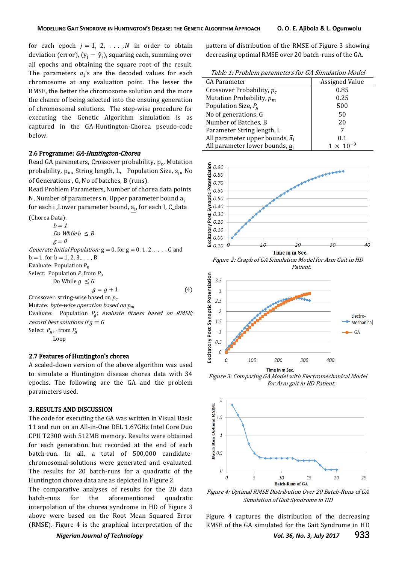for each epoch  $j = 1, 2, \ldots, N$  in order to obtain deviation (error),  $(y_i - \hat{y}_i)$ , squaring each, summing over all epochs and obtaining the square root of the result. The parameters  $a_i$ 's are the decoded values for each chromosome at any evaluation point. The lesser the RMSE, the better the chromosome solution and the more the chance of being selected into the ensuing generation of chromosomal solutions. The step-wise procedure for executing the Genetic Algorithm simulation is as captured in the GA-Huntington-Chorea pseudo-code below.

#### 2.6 Programme: GA-Huntington-Chorea

Read GA parameters, Crossover probability, p<sub>c</sub>, Mutation probability,  $p_m$ , String length, L, Population Size,  $s_p$ , No of Generations , G, No of batches, B (runs).

Read Problem Parameters, Number of chorea data points N, Number of parameters n, Upper parameter bound  $\overline{a}_i$ for each i ,Lower parameter bound, a<sub>i</sub>, for each I, C\_data

\n- (Chorea Data).
\n- $$
b = 1
$$
\n- $Do While b \leq B$
\n- $g = 0$
\n- *Generate Initial Population:* g = 0, for g = 0, 1, 2, . . . , G and b = 1, for b = 1, 2, 3, . . . , B
\n- Evaluate: Population *P*<sub>0</sub>
\n- Select: Population *P*<sub>1</sub> from *P*<sub>0</sub>
\n- Do While *g* ≤ *G*
\n- $g = g + 1$
\n- Crossover: string-wise based on *p*<sub>c</sub>
\n- Mutate: *byte-wise operation based on p*<sub>m</sub>
\n- Evaluate: Population *P*<sub>g</sub>; *evaluate fitness based on RMSE; record best solutions if g = G*
\n- Select *P*<sub>g+1</sub> from *P*<sub>g</sub>
\n- Loop
\n

## 2.7 Features of Huntington's chorea

A scaled-down version of the above algorithm was used to simulate a Huntington disease chorea data with 34 epochs. The following are the GA and the problem parameters used.

#### 3. RESULTS AND DISCUSSION

The code for executing the GA was written in Visual Basic 11 and run on an All-in-One DEL 1.67GHz Intel Core Duo CPU T2300 with 512MB memory. Results were obtained for each generation but recorded at the end of each batch-run. In all, a total of 500,000 candidatechromosomal-solutions were generated and evaluated. The results for 20 batch-runs for a quadratic of the Huntington chorea data are as depicted in Figure 2.

The comparative analyses of results for the 20 data batch-runs for the aforementioned quadratic interpolation of the chorea syndrome in HD of Figure 3 above were based on the Root Mean Squared Error (RMSE). Figure 4 is the graphical interpretation of the

pattern of distribution of the RMSE of Figure 3 showing decreasing optimal RMSE over 20 batch-runs of the GA.

Table 1: Problem parameters for GA Simulation Model

| <b>GA Parameter</b>                          | <b>Assigned Value</b> |
|----------------------------------------------|-----------------------|
| Crossover Probability, $p_c$                 | 0.85                  |
| Mutation Probability, $p_m$                  | 0.25                  |
| Population Size, $P_q$                       | 500                   |
| No of generations, G                         | 50                    |
| Number of Batches, B                         | 20                    |
| Parameter String length, L                   |                       |
| All parameter upper bounds, $\overline{a}_i$ | 0.1                   |
| All parameter lower bounds, a <sub>i</sub>   | $1 \times 10^{-9}$    |







Figure 3: Comparing GA Model with Electromechanical Model for Arm gait in HD Patient.



Figure 4: Optimal RMSE Distribution Over 20 Batch-Runs of GA Simulation of Gait Syndrome in HD

Figure 4 captures the distribution of the decreasing RMSE of the GA simulated for the Gait Syndrome in HD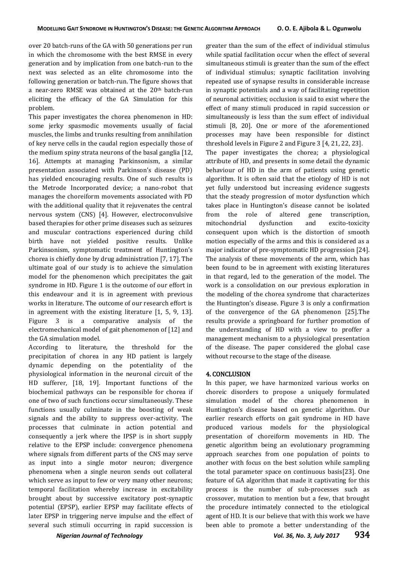over 20 batch-runs of the GA with 50 generations per run in which the chromosome with the best RMSE in every generation and by implication from one batch-run to the next was selected as an elite chromosome into the following generation or batch-run. The figure shows that a near-zero RMSE was obtained at the 20<sup>th</sup> batch-run eliciting the efficacy of the GA Simulation for this problem.

This paper investigates the chorea phenomenon in HD: some jerky spasmodic movements usually of facial muscles, the limbs and trunks resulting from annihilation of key nerve cells in the caudal region especially those of the medium spiny strata neurons of the basal ganglia [12, 16]. Attempts at managing Parkinsonism, a similar presentation associated with Parkinson's disease (PD) has yielded encouraging results. One of such results is the Metrode Incorporated device; a nano-robot that manages the choreiform movements associated with PD with the additional quality that it rejuvenates the central nervous system (CNS) [4]. However, electroconvulsive based therapies for other prime diseases such as seizures and muscular contractions experienced during child birth have not yielded positive results. Unlike Parkinsonism, symptomatic treatment of Huntington's chorea is chiefly done by drug administration [7, 17]. The ultimate goal of our study is to achieve the simulation model for the phenomenon which precipitates the gait syndrome in HD. Figure 1 is the outcome of our effort in this endeavour and it is in agreement with previous works in literature. The outcome of our research effort is in agreement with the existing literature [1, 5, 9, 13]. Figure 3 is a comparative analysis of the electromechanical model of gait phenomenon of [12] and the GA simulation model.

According to literature, the threshold for the precipitation of chorea in any HD patient is largely dynamic depending on the potentiality of the physiological information in the neuronal circuit of the HD sufferer, [18, 19]. Important functions of the biochemical pathways can be responsible for chorea if one of two of such functions occur simultaneously. These functions usually culminate in the boosting of weak signals and the ability to suppress over-activity. The processes that culminate in action potential and consequently a jerk where the IPSP is in short supply relative to the EPSP include: convergence phenomena where signals from different parts of the CNS may serve as input into a single motor neuron; divergence phenomena when a single neuron sends out collateral which serve as input to few or very many other neurons; temporal facilitation whereby increase in excitability brought about by successive excitatory post-synaptic potential (EPSP), earlier EPSP may facilitate effects of later EPSP in triggering nerve impulse and the effect of several such stimuli occurring in rapid succession is

greater than the sum of the effect of individual stimulus while spatial facilitation occur when the effect of several simultaneous stimuli is greater than the sum of the effect of individual stimulus; synaptic facilitation involving repeated use of synapse results in considerable increase in synaptic potentials and a way of facilitating repetition of neuronal activities; occlusion is said to exist where the effect of many stimuli produced in rapid succession or simultaneously is less than the sum effect of individual stimuli [8, 20]. One or more of the aforementioned processes may have been responsible for distinct threshold levels in Figure 2 and Figure 3 [4, 21, 22, 23]. The paper investigates the chorea; a physiological attribute of HD, and presents in some detail the dynamic behaviour of HD in the arm of patients using genetic algorithm. It is often said that the etiology of HD is not yet fully understood but increasing evidence suggests that the steady progression of motor dysfunction which takes place in Huntington's disease cannot be isolated from the role of altered gene transcription, mitochondrial dysfunction and excito-toxicity consequent upon which is the distortion of smooth motion especially of the arms and this is considered as a major indicator of pre-symptomatic HD progression [24]. The analysis of these movements of the arm, which has been found to be in agreement with existing literatures in that regard, led to the generation of the model. The work is a consolidation on our previous exploration in the modeling of the chorea syndrome that characterizes the Huntington's disease. Figure 3 is only a confirmation of the convergence of the GA phenomenon [25].The results provide a springboard for further promotion of the understanding of HD with a view to proffer a management mechanism to a physiological presentation of the disease. The paper considered the global case without recourse to the stage of the disease.

#### 4. CONCLUSION

In this paper, we have harmonized various works on choreic disorders to propose a uniquely formulated simulation model of the chorea phenomenon in Huntington's disease based on genetic algorithm. Our earlier research efforts on gait syndrome in HD have produced various models for the physiological presentation of choreiform movements in HD. The genetic algorithm being an evolutionary programming approach searches from one population of points to another with focus on the best solution while sampling the total parameter space on continuous basis[23]. One feature of GA algorithm that made it captivating for this process is the number of sub-processes such as crossover, mutation to mention but a few, that brought the procedure intimately connected to the etiological agent of HD. It is our believe that with this work we have been able to promote a better understanding of the